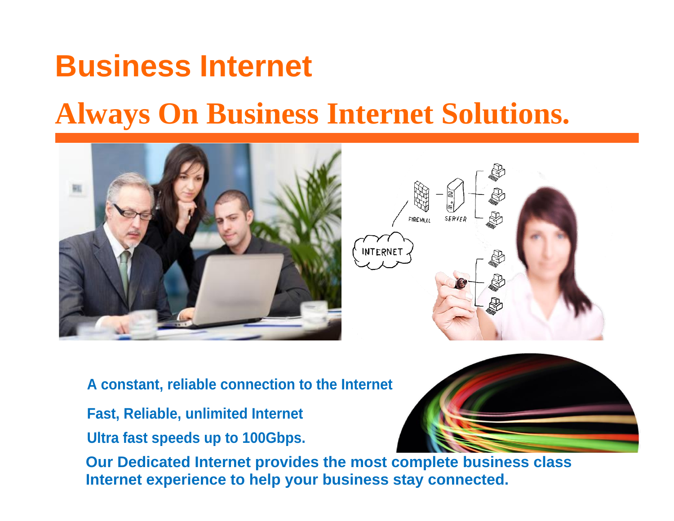# **Business Internet**

# **Always On Business Internet Solutions.**



FIREWALL **SFRVFR INTERNET** 

**A constant, reliable connection to the Internet**

- **Fast, Reliable, unlimited Internet**
- **Ultra fast speeds up to 100Gbps.**

**Our Dedicated Internet provides the most complete business class Internet experience to help your business stay connected.**

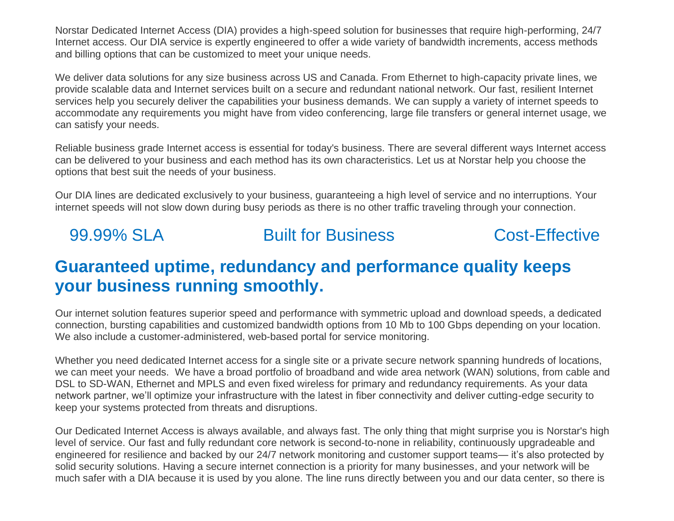Norstar Dedicated Internet Access (DIA) provides a high-speed solution for businesses that require high-performing, 24/7 Internet access. Our DIA service is expertly engineered to offer a wide variety of bandwidth increments, access methods and billing options that can be customized to meet your unique needs.

We deliver data solutions for any size business across US and Canada. From Ethernet to high-capacity private lines, we provide scalable data and Internet services built on a secure and redundant national network. Our fast, resilient Internet services help you securely deliver the capabilities your business demands. We can supply a variety of internet speeds to accommodate any requirements you might have from video conferencing, large file transfers or general internet usage, we can satisfy your needs.

Reliable business grade Internet access is essential for today's business. There are several different ways Internet access can be delivered to your business and each method has its own characteristics. Let us at Norstar help you choose the options that best suit the needs of your business.

Our DIA lines are dedicated exclusively to your business, guaranteeing a high level of service and no interruptions. Your internet speeds will not slow down during busy periods as there is no other traffic traveling through your connection.

#### 99.99% SLA Built for Business Cost-Effective

#### **Guaranteed uptime, redundancy and performance quality keeps your business running smoothly.**

Our internet solution features superior speed and performance with symmetric upload and download speeds, a dedicated connection, bursting capabilities and customized bandwidth options from 10 Mb to 100 Gbps depending on your location. We also include a customer-administered, web-based portal for service monitoring.

Whether you need dedicated Internet access for a single site or a private secure network spanning hundreds of locations, we can meet your needs. We have a broad portfolio of broadband and wide area network (WAN) solutions, from cable and DSL to SD-WAN, Ethernet and MPLS and even fixed wireless for primary and redundancy requirements. As your data network partner, we'll optimize your infrastructure with the latest in fiber connectivity and deliver cutting-edge security to keep your systems protected from threats and disruptions.

Our Dedicated Internet Access is always available, and always fast. The only thing that might surprise you is Norstar's high level of service. Our fast and fully redundant core network is second-to-none in reliability, continuously upgradeable and engineered for resilience and backed by our 24/7 network monitoring and customer support teams— it's also protected by solid security solutions. Having a secure internet connection is a priority for many businesses, and your network will be much safer with a DIA because it is used by you alone. The line runs directly between you and our data center, so there is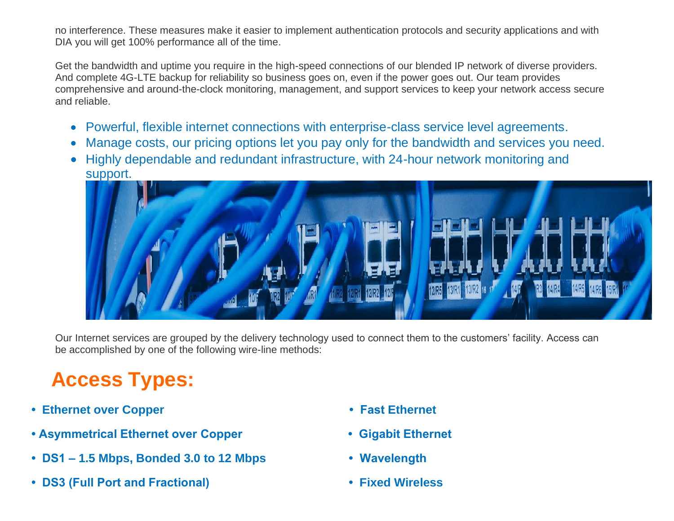no interference. These measures make it easier to implement authentication protocols and security applications and with DIA you will get 100% performance all of the time.

Get the bandwidth and uptime you require in the high-speed connections of our blended IP network of diverse providers. And complete 4G-LTE backup for reliability so business goes on, even if the power goes out. Our team provides comprehensive and around-the-clock monitoring, management, and support services to keep your network access secure and reliable.

- Powerful, flexible internet connections with enterprise-class service level agreements.
- Manage costs, our pricing options let you pay only for the bandwidth and services you need.
- Highly dependable and redundant infrastructure, with 24-hour network monitoring and support.



Our Internet services are grouped by the delivery technology used to connect them to the customers' facility. Access can be accomplished by one of the following wire-line methods:

# **Access Types:**

- **• Ethernet over Copper Fast Ethernet**
- **Asymmetrical Ethernet over Copper Gigabit Ethernet**
- **DS1 – 1.5 Mbps, Bonded 3.0 to 12 Mbps Wavelength**
- **DS3 (Full Port and Fractional) Fixed Wireless**
- 
- 
- 
-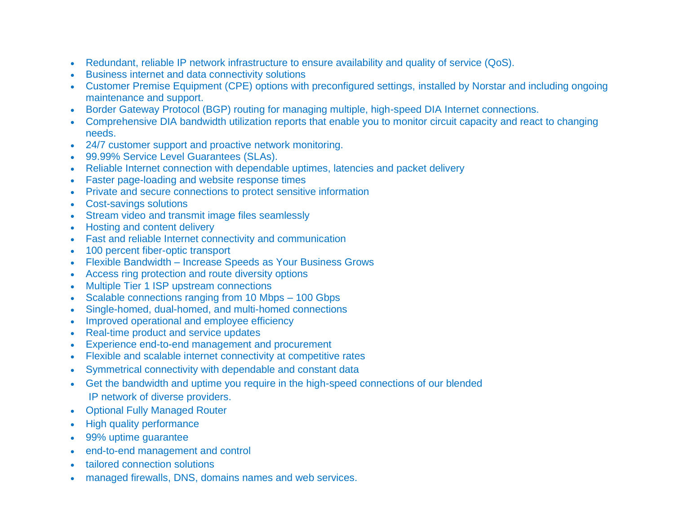- Redundant, reliable IP network infrastructure to ensure availability and quality of service (QoS).
- Business internet and data connectivity solutions
- Customer Premise Equipment (CPE) options with preconfigured settings, installed by Norstar and including ongoing maintenance and support.
- Border Gateway Protocol (BGP) routing for managing multiple, high-speed DIA Internet connections.
- Comprehensive DIA bandwidth utilization reports that enable you to monitor circuit capacity and react to changing needs.
- 24/7 customer support and proactive network monitoring.
- 99.99% Service Level Guarantees (SLAs).
- Reliable Internet connection with dependable uptimes, latencies and packet delivery
- Faster page-loading and website response times
- Private and secure connections to protect sensitive information
- Cost-savings solutions
- Stream video and transmit image files seamlessly
- Hosting and content delivery
- Fast and reliable Internet connectivity and communication
- 100 percent fiber-optic transport
- Flexible Bandwidth Increase Speeds as Your Business Grows
- Access ring protection and route diversity options
- Multiple Tier 1 ISP upstream connections
- Scalable connections ranging from 10 Mbps 100 Gbps
- Single-homed, dual-homed, and multi-homed connections
- Improved operational and employee efficiency
- Real-time product and service updates
- Experience end-to-end management and procurement
- Flexible and scalable internet connectivity at competitive rates
- Symmetrical connectivity with dependable and constant data
- Get the bandwidth and uptime you require in the high-speed connections of our blended IP network of diverse providers.
- **Optional Fully Managed Router**
- High quality performance
- 99% uptime guarantee
- end-to-end management and control
- tailored connection solutions
- managed firewalls, DNS, domains names and web services.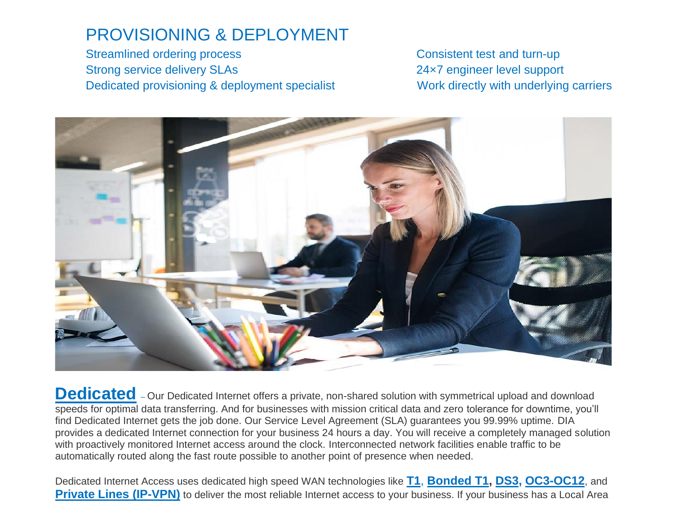### PROVISIONING & DEPLOYMENT

Streamlined ordering process Consistent test and turn-up Strong service delivery SLAs 24×7 engineer level support Dedicated provisioning & deployment specialist Work directly with underlying carriers



Dedicated - Our Dedicated Internet offers a private, non-shared solution with symmetrical upload and download speeds for optimal data transferring. And for businesses with mission critical data and zero tolerance for downtime, you'll find Dedicated Internet gets the job done. Our Service Level Agreement (SLA) guarantees you 99.99% uptime. DIA provides a dedicated Internet connection for your business 24 hours a day. You will receive a completely managed solution with proactively monitored Internet access around the clock. Interconnected network facilities enable traffic to be automatically routed along the fast route possible to another point of presence when needed.

Dedicated Internet Access uses dedicated high speed WAN technologies like **[T1](https://www.norstartelecom.com/network&data/T1.html)**, **[Bonded](https://www.norstartelecom.com/network&data/bonded-T1.html) T1, [DS3,](https://www.norstartelecom.com/network&data/DS3.html) [OC3](https://www.norstartelecom.com/network&data/OC3/)[-OC12](https://www.norstartelecom.com/network&data/OC3-OC12.html)**, and **[Private](https://www.norstartelecom.com/network&data/privateline/) [Lines](https://www.norstartelecom.com/network&data/privateline) (IP-VPN)** to deliver the most reliable Internet access to your business. If your business has a Local Area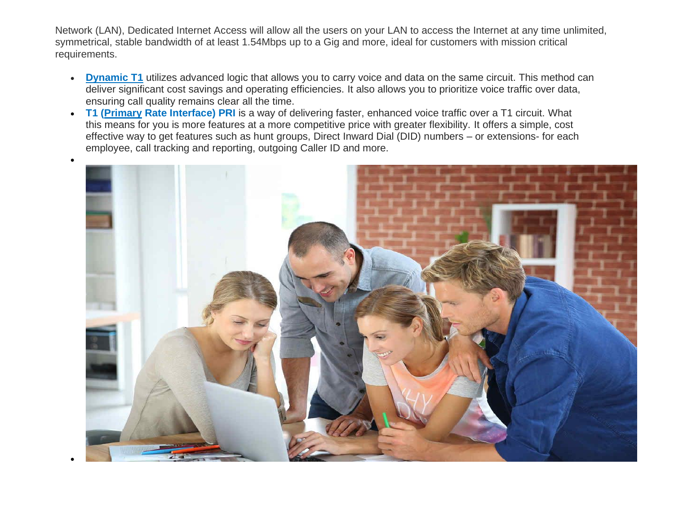Network (LAN), Dedicated Internet Access will allow all the users on your LAN to access the Internet at any time unlimited, symmetrical, stable bandwidth of at least 1.54Mbps up to a Gig and more, ideal for customers with mission critical requirements.

- **[Dynamic](http://www.norstartelecom.com/network&data/dynamic-t1.html) T1** utilizes advanced logic that allows you to carry voice and data on the same circuit. This method can deliver significant cost savings and operating efficiencies. It also allows you to prioritize voice traffic over data, ensuring call quality remains clear all the time.
- **T1 [\(Primary](https://www.norstartelecom.com/network&data/T1-pri.html) Rate Interface) PRI** is a way of delivering faster, enhanced voice traffic over a T1 circuit. What this means for you is more features at a more competitive price with greater flexibility. It offers a simple, cost effective way to get features such as hunt groups, Direct Inward Dial (DID) numbers – or extensions- for each employee, call tracking and reporting, outgoing Caller ID and more.

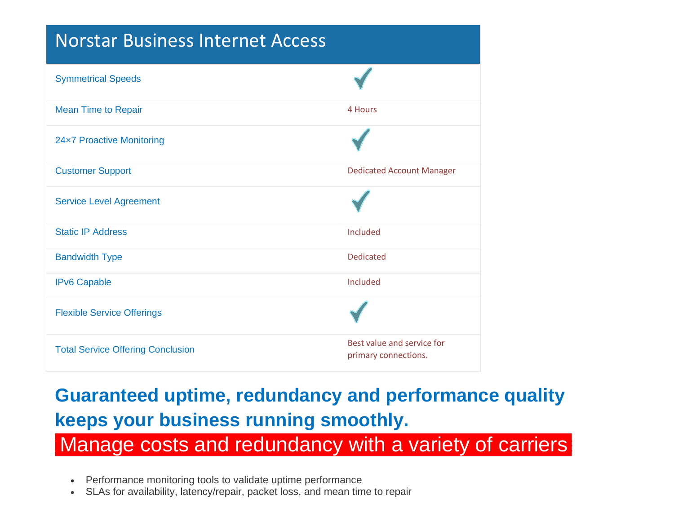### Norstar Business Internet Access

| <b>Symmetrical Speeds</b>                |                                                    |
|------------------------------------------|----------------------------------------------------|
| <b>Mean Time to Repair</b>               | 4 Hours                                            |
| 24x7 Proactive Monitoring                |                                                    |
| <b>Customer Support</b>                  | <b>Dedicated Account Manager</b>                   |
| <b>Service Level Agreement</b>           |                                                    |
| <b>Static IP Address</b>                 | Included                                           |
| <b>Bandwidth Type</b>                    | <b>Dedicated</b>                                   |
| <b>IPv6 Capable</b>                      | Included                                           |
| <b>Flexible Service Offerings</b>        |                                                    |
| <b>Total Service Offering Conclusion</b> | Best value and service for<br>primary connections. |

# **Guaranteed uptime, redundancy and performance quality keeps your business running smoothly.**

• **Manage costs and redundancy with a variety of carriers**<br>• Performance monitoring tools to validate uptime performance<br>• SLAs for availability, latency/repair, packet loss, and mean time to repair

- Performance monitoring tools to validate uptime performance
-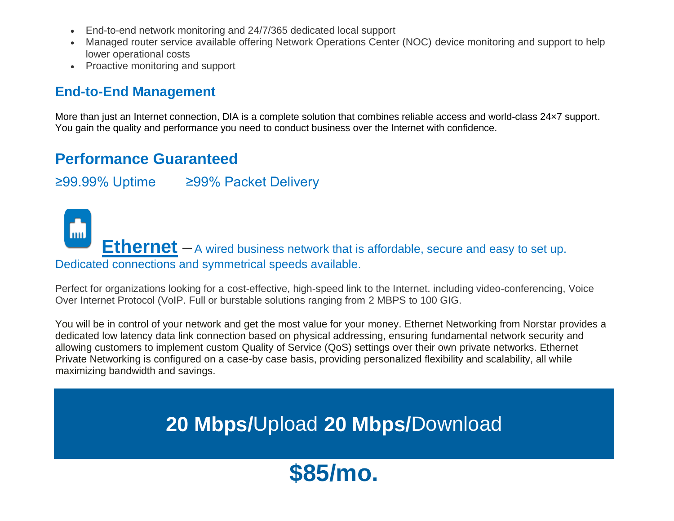- End-to-end network monitoring and 24/7/365 dedicated local support
- Managed router service available offering Network Operations Center (NOC) device monitoring and support to help lower operational costs
- Proactive monitoring and support

#### **End-to-End Management**

More than just an Internet connection, DIA is a complete solution that combines reliable access and world-class 24×7 support. You gain the quality and performance you need to conduct business over the Internet with confidence.

#### **Performance Guaranteed**

≥99.99% Uptime ≥99% Packet Delivery

**F**<sub>m</sub> **[Ethernet](https://www.norstartelecom.com/network&data/ethernet-internet/)** – A wired business network that is affordable, secure and easy to set up. Dedicated connections and symmetrical speeds available.

Perfect for organizations looking for a cost-effective, high-speed link to the Internet. including video-conferencing, Voice Over Internet Protocol (VoIP. Full or burstable solutions ranging from 2 MBPS to 100 GIG.

You will be in control of your network and get the most value for your money. Ethernet Networking from Norstar provides a dedicated low latency data link connection based on physical addressing, ensuring fundamental network security and allowing customers to implement custom Quality of Service (QoS) settings over their own private networks. Ethernet Private Networking is configured on a case-by case basis, providing personalized flexibility and scalability, all while maximizing bandwidth and savings.

# **20 Mbps/**Upload **20 Mbps/**Download

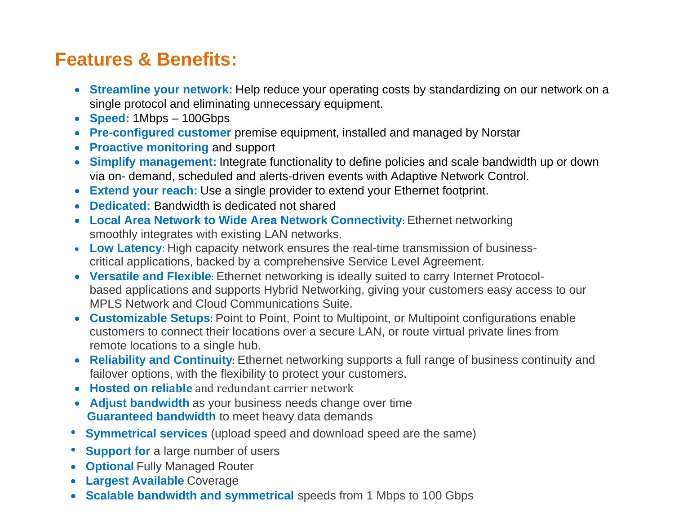## **Features & Benefits:**

- **Streamline your network:** Help reduce your operating costs by standardizing on our network on a single protocol and eliminating unnecessary equipment.
- **Speed:** 1Mbps 100Gbps
- **Pre-configured customer** premise equipment, installed and managed by Norstar
- **Proactive monitoring** and support
- **Simplify management:** Integrate functionality to define policies and scale bandwidth up or down via on- demand, scheduled and alerts-driven events with Adaptive Network Control.
- **Extend your reach:** Use a single provider to extend your Ethernet footprint.
- **Dedicated:** Bandwidth is dedicated not shared
- **Local Area Network to Wide Area Network Connectivity**: Ethernet networking smoothly integrates with existing LAN networks.
- **Low Latency**: High capacity network ensures the real-time transmission of businesscritical applications, backed by a comprehensive Service Level Agreement.
- **Versatile and Flexible**: Ethernet networking is ideally suited to carry Internet Protocolbased applications and supports Hybrid Networking, giving your customers easy access to our MPLS Network and Cloud Communications Suite.
- **Customizable Setups**: Point to Point, Point to Multipoint, or Multipoint configurations enable customers to connect their locations over a secure LAN, or route virtual private lines from remote locations to a single hub.
- **Reliability and Continuity**: Ethernet networking supports a full range of business continuity and failover options, with the flexibility to protect your customers.
- **Hosted on reliable** and redundant carrier network
- **Adjust bandwidth** as your business needs change over time  **Guaranteed bandwidth** to meet heavy data demands
- **Symmetrical services** (upload speed and download speed are the same)
- **Support for** a large number of users
- **Optional** Fully Managed Router
- **Largest Available** Coverage
- **Scalable bandwidth and symmetrical** speeds from 1 Mbps to 100 Gbps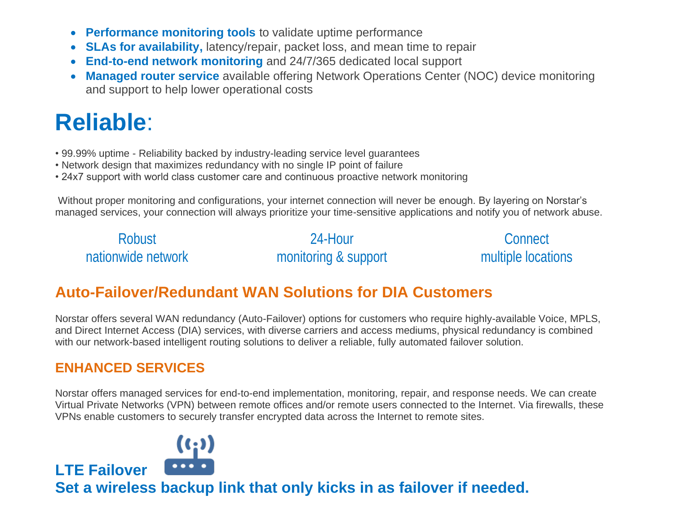- **Performance monitoring tools** to validate uptime performance
- **SLAs for availability,** latency/repair, packet loss, and mean time to repair
- **End-to-end network monitoring** and 24/7/365 dedicated local support
- **Managed router service** available offering Network Operations Center (NOC) device monitoring and support to help lower operational costs

# **Reliable**:

- 99.99% uptime Reliability backed by industry-leading service level guarantees
- Network design that maximizes redundancy with no single IP point of failure
- 24x7 support with world class customer care and continuous proactive network monitoring

Without proper monitoring and configurations, your internet connection will never be enough. By layering on Norstar's managed services, your connection will always prioritize your time-sensitive applications and notify you of network abuse.

| <b>Robust</b>      | 24-Hour              | Connect            |
|--------------------|----------------------|--------------------|
| nationwide network | monitoring & support | multiple locations |

#### **Auto-Failover/Redundant WAN Solutions for DIA Customers**

Norstar offers several WAN redundancy (Auto-Failover) options for customers who require highly-available Voice, MPLS, and Direct Internet Access (DIA) services, with diverse carriers and access mediums, physical redundancy is combined with our network-based intelligent routing solutions to deliver a reliable, fully automated failover solution.

#### **ENHANCED SERVICES**

**LTE Failover** 

Norstar offers managed services for end-to-end implementation, monitoring, repair, and response needs. We can create Virtual Private Networks (VPN) between remote offices and/or remote users connected to the Internet. Via firewalls, these VPNs enable customers to securely transfer encrypted data across the Internet to remote sites.



**Set a wireless backup link that only kicks in as failover if needed.**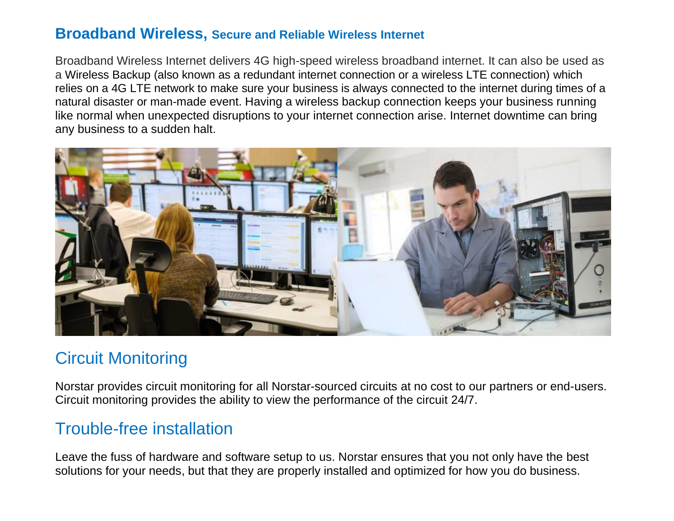#### **Broadband Wireless, Secure and Reliable Wireless Internet**

Broadband Wireless Internet delivers 4G high-speed wireless broadband internet. It can also be used as a Wireless Backup (also known as a redundant internet connection or a wireless LTE connection) which relies on a 4G LTE network to make sure your business is always connected to the internet during times of a natural disaster or man-made event. Having a wireless backup connection keeps your business running like normal when unexpected disruptions to your internet connection arise. Internet downtime can bring any business to a sudden halt.



### Circuit Monitoring

Norstar provides circuit monitoring for all Norstar-sourced circuits at no cost to our partners or end-users. Circuit monitoring provides the ability to view the performance of the circuit 24/7.

### Trouble-free installation

Leave the fuss of hardware and software setup to us. Norstar ensures that you not only have the best solutions for your needs, but that they are properly installed and optimized for how you do business.